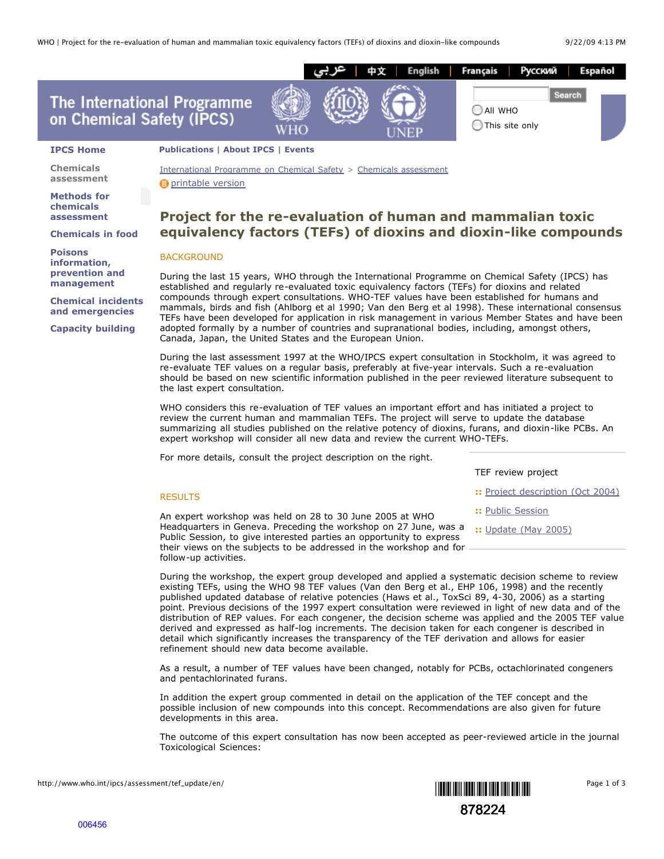

International Programme on Chemical Safety > Chemicals assessment

### **Methods for chemicals assessment**

**Chemicals assessment**

**Chemicals in food**

**Poisons information, prevention and management**

**Chemical incidents and emergencies**

**Capacity building**

**D** printable version

# **Project for the re-evaluation of human and mammalian toxic equivalency factors (TEFs) of dioxins and dioxin-like compounds**

## BACKGROUND

follow-up activities.

During the last 15 years, WHO through the International Programme on Chemical Safety (IPCS) has established and regularly re-evaluated toxic equivalency factors (TEFs) for dioxins and related compounds through expert consultations. WHO-TEF values have been established for humans and mammals, birds and fish (Ahlborg et al 1990; Van den Berg et al 1998). These international consensus TEFs have been developed for application in risk management in various Member States and have been adopted formally by a number of countries and supranational bodies, including, amongst others, Canada, Japan, the United States and the European Union.

During the last assessment 1997 at the WHO/IPCS expert consultation in Stockholm, it was agreed to re-evaluate TEF values on a regular basis, preferably at five-year intervals. Such a re-evaluation should be based on new scientific information published in the peer reviewed literature subsequent to the last expert consultation.

WHO considers this re-evaluation of TEF values an important effort and has initiated a project to review the current human and mammalian TEFs. The project will serve to update the database summarizing all studies published on the relative potency of dioxins, furans, and dioxin-like PCBs. An expert workshop will consider all new data and review the current WHO-TEFs.

For more details, consult the project description on the right.

|                                                                                                                                                                                                                 | TEF review project                |
|-----------------------------------------------------------------------------------------------------------------------------------------------------------------------------------------------------------------|-----------------------------------|
| <b>RESULTS</b>                                                                                                                                                                                                  | :: Project description (Oct 2004) |
| An expert workshop was held on 28 to 30 June 2005 at WHO                                                                                                                                                        | :: Public Session                 |
| Headquarters in Geneva. Preceding the workshop on 27 June, was a<br>Public Session, to give interested parties an opportunity to express<br>their views on the subjects to be addressed in the workshop and for | :: Update (May 2005)              |
| follow-up activities.                                                                                                                                                                                           |                                   |

During the workshop, the expert group developed and applied a systematic decision scheme to review existing TEFs, using the WHO 98 TEF values (Van den Berg et al., EHP 106, 1998) and the recently published updated database of relative potencies (Haws et al., ToxSci 89, 4-30, 2006) as a starting point. Previous decisions of the 1997 expert consultation were reviewed in light of new data and of the distribution of REP values. For each congener, the decision scheme was applied and the 2005 TEF value derived and expressed as half-log increments. The decision taken for each congener is described in detail which significantly increases the transparency of the TEF derivation and allows for easier refinement should new data become available.

As a result, a number of TEF values have been changed, notably for PCBs, octachlorinated congeners and pentachlorinated furans.

In addition the expert group commented in detail on the application of the TEF concept and the possible inclusion of new compounds into this concept. Recommendations are also given for future developments in this area.

The outcome of this expert consultation has now been accepted as peer-reviewed article in the journal Toxicological Sciences:

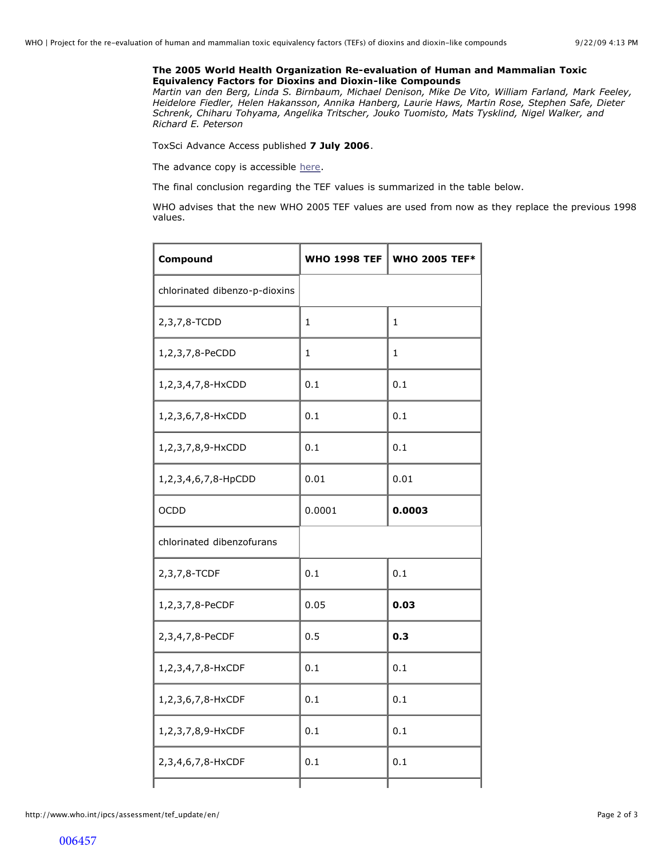## **The 2005 World Health Organization Re-evaluation of Human and Mammalian Toxic Equivalency Factors for Dioxins and Dioxin-like Compounds**

*Martin van den Berg, Linda S. Birnbaum, Michael Denison, Mike De Vito, William Farland, Mark Feeley, Heidelore Fiedler, Helen Hakansson, Annika Hanberg, Laurie Haws, Martin Rose, Stephen Safe, Dieter Schrenk, Chiharu Tohyama, Angelika Tritscher, Jouko Tuomisto, Mats Tysklind, Nigel Walker, and Richard E. Peterson* 

ToxSci Advance Access published **7 July 2006**.

The advance copy is accessible [here.](http://toxsci.oxfordjournals.org/cgi/reprint/kfl055v1?ijkey=pio0gXG6dghrndD&keytype=ref)

The final conclusion regarding the TEF values is summarized in the table below.

WHO advises that the new WHO 2005 TEF values are used from now as they replace the previous 1998 values.

| Compound                      | <b>WHO 1998 TEF</b> | <b>WHO 2005 TEF*</b> |
|-------------------------------|---------------------|----------------------|
| chlorinated dibenzo-p-dioxins |                     |                      |
| 2,3,7,8-TCDD                  | 1                   | 1                    |
| 1,2,3,7,8-PeCDD               | 1                   | 1                    |
| 1,2,3,4,7,8-HxCDD             | 0.1                 | 0.1                  |
| 1,2,3,6,7,8-HxCDD             | 0.1                 | 0.1                  |
| 1,2,3,7,8,9-HxCDD             | 0.1                 | 0.1                  |
| 1,2,3,4,6,7,8-HpCDD           | 0.01                | 0.01                 |
| <b>OCDD</b>                   | 0.0001              | 0.0003               |
| chlorinated dibenzofurans     |                     |                      |
| 2,3,7,8-TCDF                  | 0.1                 | 0.1                  |
| 1,2,3,7,8-PeCDF               | 0.05                | 0.03                 |
| 2,3,4,7,8-PeCDF               | 0.5                 | 0.3                  |
| 1,2,3,4,7,8-HxCDF             | 0.1                 | 0.1                  |
| 1,2,3,6,7,8-HxCDF             | 0.1                 | 0.1                  |
| 1,2,3,7,8,9-HxCDF             | 0.1                 | 0.1                  |
| 2,3,4,6,7,8-HxCDF             | 0.1                 | 0.1                  |
|                               |                     |                      |